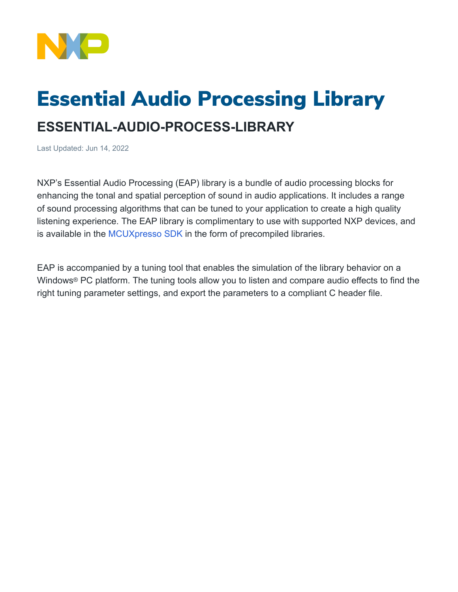

## Essential Audio Processing Library

## **ESSENTIAL-AUDIO-PROCESS-LIBRARY**

Last Updated: Jun 14, 2022

NXP's Essential Audio Processing (EAP) library is a bundle of audio processing blocks for enhancing the tonal and spatial perception of sound in audio applications. It includes a range of sound processing algorithms that can be tuned to your application to create a high quality listening experience. The EAP library is complimentary to use with supported NXP devices, and is available in the [MCUXpresso SDK](https://mcuxpresso.nxp.com/en/welcome) in the form of precompiled libraries.

EAP is accompanied by a tuning tool that enables the simulation of the library behavior on a Windows® PC platform. The tuning tools allow you to listen and compare audio effects to find the right tuning parameter settings, and export the parameters to a compliant C header file.